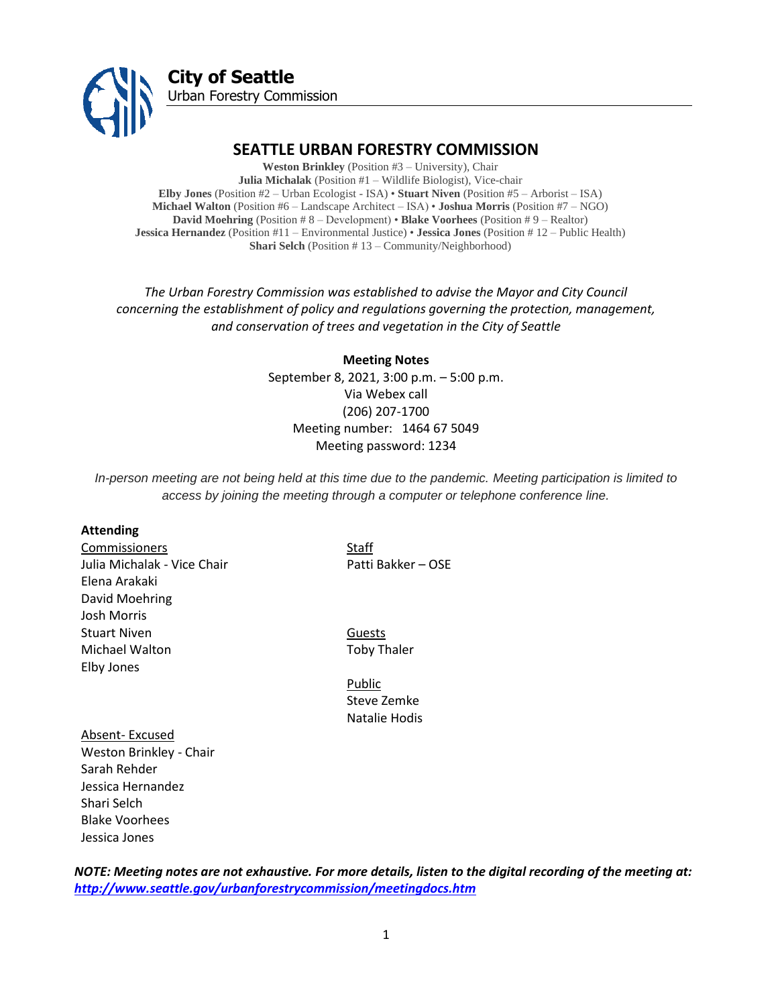

# **SEATTLE URBAN FORESTRY COMMISSION**

**Weston Brinkley** (Position #3 – University), Chair **Julia Michalak** (Position #1 – Wildlife Biologist), Vice-chair **Elby Jones** (Position #2 – Urban Ecologist - ISA) • **Stuart Niven** (Position #5 – Arborist – ISA) **Michael Walton** (Position #6 – Landscape Architect – ISA) • **Joshua Morris** (Position #7 – NGO) **David Moehring** (Position # 8 – Development) • **Blake Voorhees** (Position # 9 – Realtor) **Jessica Hernandez** (Position #11 – Environmental Justice) • **Jessica Jones** (Position # 12 – Public Health) **Shari Selch** (Position #13 – Community/Neighborhood)

*The Urban Forestry Commission was established to advise the Mayor and City Council concerning the establishment of policy and regulations governing the protection, management, and conservation of trees and vegetation in the City of Seattle*

> **Meeting Notes** September 8, 2021, 3:00 p.m. – 5:00 p.m. Via Webex call (206) 207-1700 Meeting number: 1464 67 5049 Meeting password: 1234

*In-person meeting are not being held at this time due to the pandemic. Meeting participation is limited to access by joining the meeting through a computer or telephone conference line.*

#### **Attending**

Commissioners Staff Julia Michalak - Vice Chair **Patti Bakker – OSE** Elena Arakaki David Moehring Josh Morris Stuart Niven **Guests** Michael Walton Toby Thaler Elby Jones

Public Steve Zemke Natalie Hodis

Absent- Excused Weston Brinkley - Chair Sarah Rehder Jessica Hernandez Shari Selch Blake Voorhees Jessica Jones

*NOTE: Meeting notes are not exhaustive. For more details, listen to the digital recording of the meeting at: <http://www.seattle.gov/urbanforestrycommission/meetingdocs.htm>*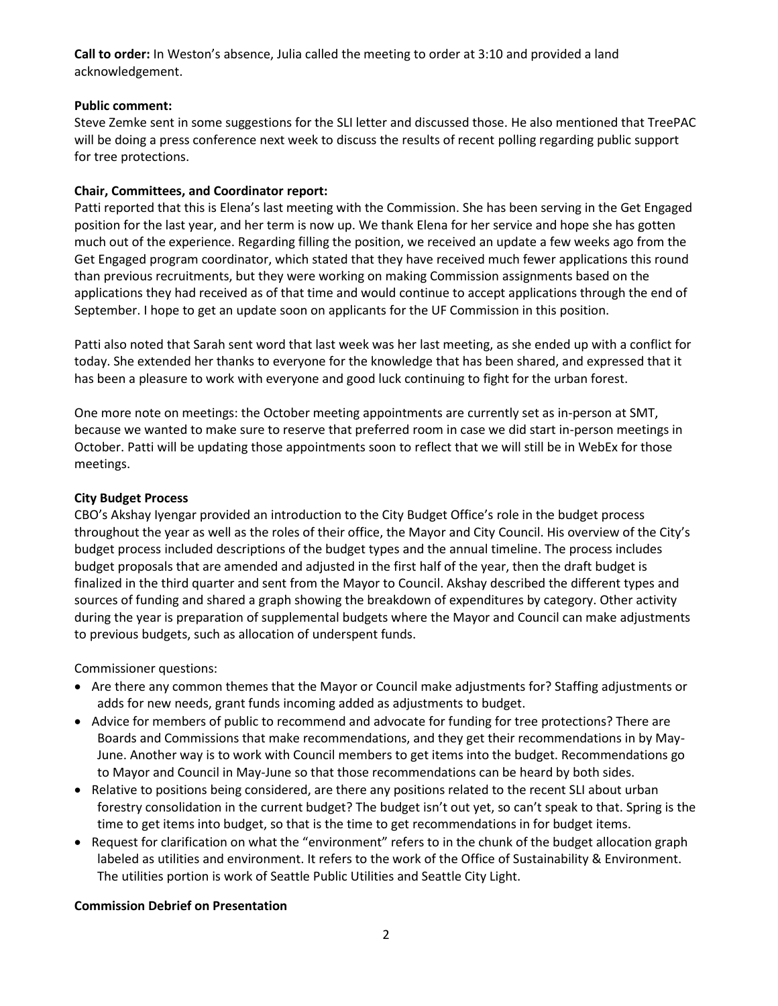**Call to order:** In Weston's absence, Julia called the meeting to order at 3:10 and provided a land acknowledgement.

### **Public comment:**

Steve Zemke sent in some suggestions for the SLI letter and discussed those. He also mentioned that TreePAC will be doing a press conference next week to discuss the results of recent polling regarding public support for tree protections.

# **Chair, Committees, and Coordinator report:**

Patti reported that this is Elena's last meeting with the Commission. She has been serving in the Get Engaged position for the last year, and her term is now up. We thank Elena for her service and hope she has gotten much out of the experience. Regarding filling the position, we received an update a few weeks ago from the Get Engaged program coordinator, which stated that they have received much fewer applications this round than previous recruitments, but they were working on making Commission assignments based on the applications they had received as of that time and would continue to accept applications through the end of September. I hope to get an update soon on applicants for the UF Commission in this position.

Patti also noted that Sarah sent word that last week was her last meeting, as she ended up with a conflict for today. She extended her thanks to everyone for the knowledge that has been shared, and expressed that it has been a pleasure to work with everyone and good luck continuing to fight for the urban forest.

One more note on meetings: the October meeting appointments are currently set as in-person at SMT, because we wanted to make sure to reserve that preferred room in case we did start in-person meetings in October. Patti will be updating those appointments soon to reflect that we will still be in WebEx for those meetings.

# **City Budget Process**

CBO's Akshay Iyengar provided an introduction to the City Budget Office's role in the budget process throughout the year as well as the roles of their office, the Mayor and City Council. His overview of the City's budget process included descriptions of the budget types and the annual timeline. The process includes budget proposals that are amended and adjusted in the first half of the year, then the draft budget is finalized in the third quarter and sent from the Mayor to Council. Akshay described the different types and sources of funding and shared a graph showing the breakdown of expenditures by category. Other activity during the year is preparation of supplemental budgets where the Mayor and Council can make adjustments to previous budgets, such as allocation of underspent funds.

Commissioner questions:

- Are there any common themes that the Mayor or Council make adjustments for? Staffing adjustments or adds for new needs, grant funds incoming added as adjustments to budget.
- Advice for members of public to recommend and advocate for funding for tree protections? There are Boards and Commissions that make recommendations, and they get their recommendations in by May-June. Another way is to work with Council members to get items into the budget. Recommendations go to Mayor and Council in May-June so that those recommendations can be heard by both sides.
- Relative to positions being considered, are there any positions related to the recent SLI about urban forestry consolidation in the current budget? The budget isn't out yet, so can't speak to that. Spring is the time to get items into budget, so that is the time to get recommendations in for budget items.
- Request for clarification on what the "environment" refers to in the chunk of the budget allocation graph labeled as utilities and environment. It refers to the work of the Office of Sustainability & Environment. The utilities portion is work of Seattle Public Utilities and Seattle City Light.

#### **Commission Debrief on Presentation**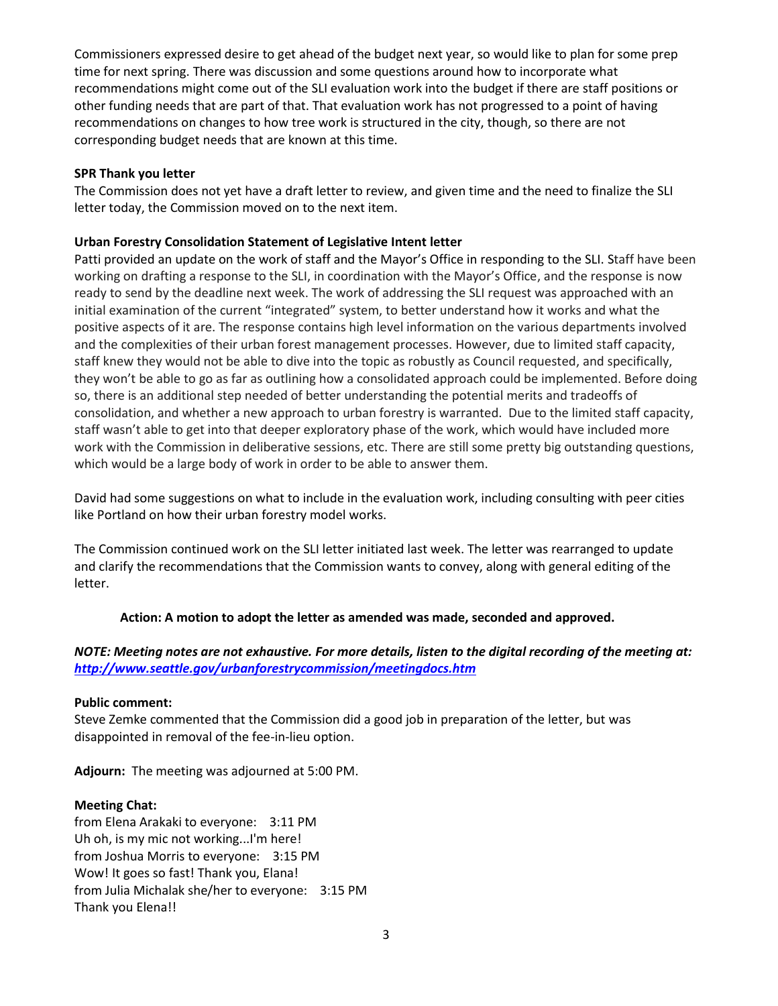Commissioners expressed desire to get ahead of the budget next year, so would like to plan for some prep time for next spring. There was discussion and some questions around how to incorporate what recommendations might come out of the SLI evaluation work into the budget if there are staff positions or other funding needs that are part of that. That evaluation work has not progressed to a point of having recommendations on changes to how tree work is structured in the city, though, so there are not corresponding budget needs that are known at this time.

### **SPR Thank you letter**

The Commission does not yet have a draft letter to review, and given time and the need to finalize the SLI letter today, the Commission moved on to the next item.

# **Urban Forestry Consolidation Statement of Legislative Intent letter**

Patti provided an update on the work of staff and the Mayor's Office in responding to the SLI. Staff have been working on drafting a response to the SLI, in coordination with the Mayor's Office, and the response is now ready to send by the deadline next week. The work of addressing the SLI request was approached with an initial examination of the current "integrated" system, to better understand how it works and what the positive aspects of it are. The response contains high level information on the various departments involved and the complexities of their urban forest management processes. However, due to limited staff capacity, staff knew they would not be able to dive into the topic as robustly as Council requested, and specifically, they won't be able to go as far as outlining how a consolidated approach could be implemented. Before doing so, there is an additional step needed of better understanding the potential merits and tradeoffs of consolidation, and whether a new approach to urban forestry is warranted. Due to the limited staff capacity, staff wasn't able to get into that deeper exploratory phase of the work, which would have included more work with the Commission in deliberative sessions, etc. There are still some pretty big outstanding questions, which would be a large body of work in order to be able to answer them.

David had some suggestions on what to include in the evaluation work, including consulting with peer cities like Portland on how their urban forestry model works.

The Commission continued work on the SLI letter initiated last week. The letter was rearranged to update and clarify the recommendations that the Commission wants to convey, along with general editing of the letter.

#### **Action: A motion to adopt the letter as amended was made, seconded and approved.**

# *NOTE: Meeting notes are not exhaustive. For more details, listen to the digital recording of the meeting at: <http://www.seattle.gov/urbanforestrycommission/meetingdocs.htm>*

#### **Public comment:**

Steve Zemke commented that the Commission did a good job in preparation of the letter, but was disappointed in removal of the fee-in-lieu option.

**Adjourn:** The meeting was adjourned at 5:00 PM.

#### **Meeting Chat:**

from Elena Arakaki to everyone: 3:11 PM Uh oh, is my mic not working...I'm here! from Joshua Morris to everyone: 3:15 PM Wow! It goes so fast! Thank you, Elana! from Julia Michalak she/her to everyone: 3:15 PM Thank you Elena!!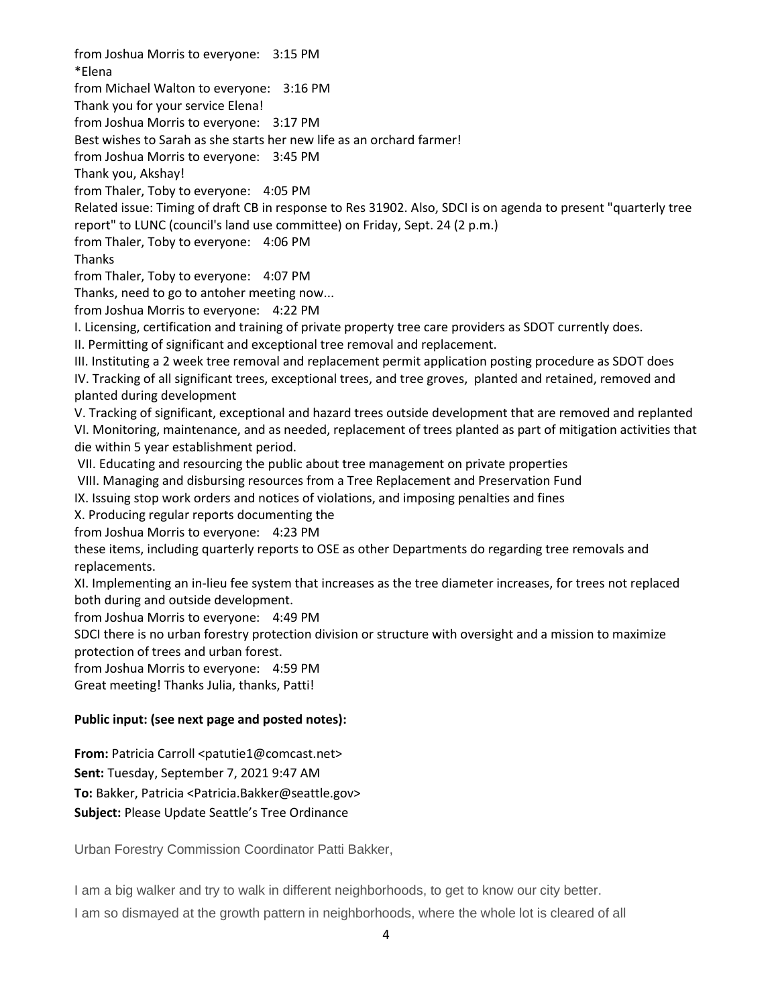from Joshua Morris to everyone: 3:15 PM \*Elena from Michael Walton to everyone: 3:16 PM Thank you for your service Elena! from Joshua Morris to everyone: 3:17 PM Best wishes to Sarah as she starts her new life as an orchard farmer! from Joshua Morris to everyone: 3:45 PM Thank you, Akshay! from Thaler, Toby to everyone: 4:05 PM Related issue: Timing of draft CB in response to Res 31902. Also, SDCI is on agenda to present "quarterly tree report" to LUNC (council's land use committee) on Friday, Sept. 24 (2 p.m.) from Thaler, Toby to everyone: 4:06 PM Thanks from Thaler, Toby to everyone: 4:07 PM Thanks, need to go to antoher meeting now... from Joshua Morris to everyone: 4:22 PM I. Licensing, certification and training of private property tree care providers as SDOT currently does. II. Permitting of significant and exceptional tree removal and replacement. III. Instituting a 2 week tree removal and replacement permit application posting procedure as SDOT does IV. Tracking of all significant trees, exceptional trees, and tree groves, planted and retained, removed and planted during development V. Tracking of significant, exceptional and hazard trees outside development that are removed and replanted VI. Monitoring, maintenance, and as needed, replacement of trees planted as part of mitigation activities that die within 5 year establishment period. VII. Educating and resourcing the public about tree management on private properties VIII. Managing and disbursing resources from a Tree Replacement and Preservation Fund IX. Issuing stop work orders and notices of violations, and imposing penalties and fines X. Producing regular reports documenting the from Joshua Morris to everyone: 4:23 PM these items, including quarterly reports to OSE as other Departments do regarding tree removals and replacements. XI. Implementing an in-lieu fee system that increases as the tree diameter increases, for trees not replaced both during and outside development. from Joshua Morris to everyone: 4:49 PM SDCI there is no urban forestry protection division or structure with oversight and a mission to maximize protection of trees and urban forest. from Joshua Morris to everyone: 4:59 PM Great meeting! Thanks Julia, thanks, Patti! **Public input: (see next page and posted notes):**

**From:** Patricia Carroll <patutie1@comcast.net>

**Sent:** Tuesday, September 7, 2021 9:47 AM

**To:** Bakker, Patricia <Patricia.Bakker@seattle.gov>

**Subject:** Please Update Seattle's Tree Ordinance

Urban Forestry Commission Coordinator Patti Bakker,

I am a big walker and try to walk in different neighborhoods, to get to know our city better.

I am so dismayed at the growth pattern in neighborhoods, where the whole lot is cleared of all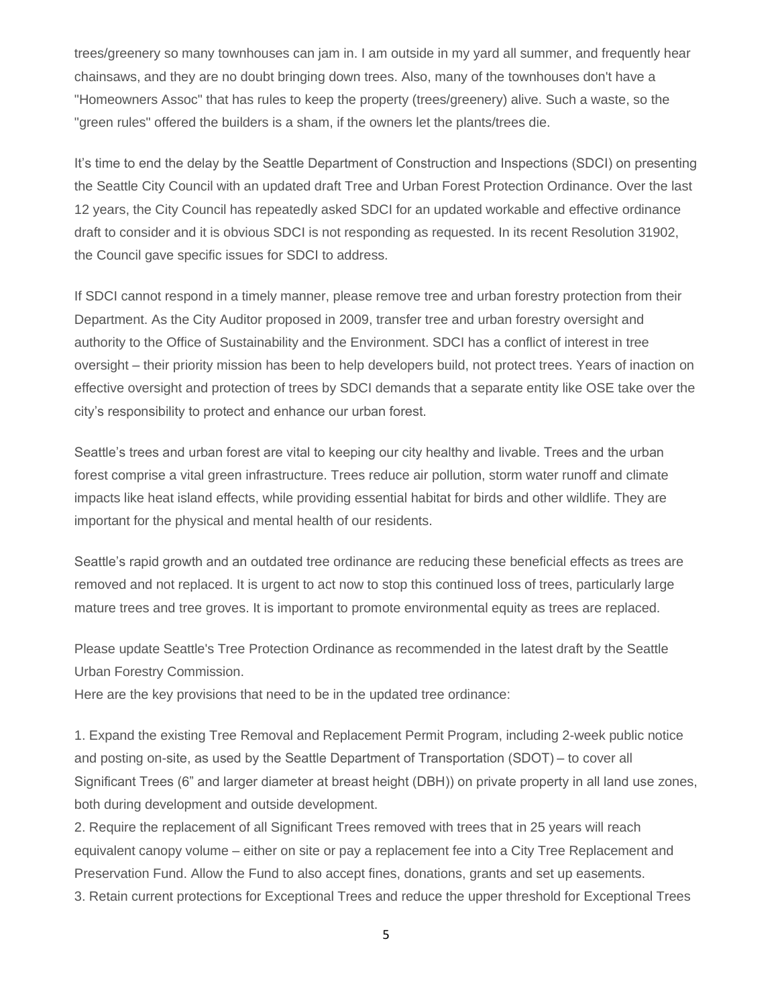trees/greenery so many townhouses can jam in. I am outside in my yard all summer, and frequently hear chainsaws, and they are no doubt bringing down trees. Also, many of the townhouses don't have a "Homeowners Assoc" that has rules to keep the property (trees/greenery) alive. Such a waste, so the "green rules" offered the builders is a sham, if the owners let the plants/trees die.

It's time to end the delay by the Seattle Department of Construction and Inspections (SDCI) on presenting the Seattle City Council with an updated draft Tree and Urban Forest Protection Ordinance. Over the last 12 years, the City Council has repeatedly asked SDCI for an updated workable and effective ordinance draft to consider and it is obvious SDCI is not responding as requested. In its recent Resolution 31902, the Council gave specific issues for SDCI to address.

If SDCI cannot respond in a timely manner, please remove tree and urban forestry protection from their Department. As the City Auditor proposed in 2009, transfer tree and urban forestry oversight and authority to the Office of Sustainability and the Environment. SDCI has a conflict of interest in tree oversight – their priority mission has been to help developers build, not protect trees. Years of inaction on effective oversight and protection of trees by SDCI demands that a separate entity like OSE take over the city's responsibility to protect and enhance our urban forest.

Seattle's trees and urban forest are vital to keeping our city healthy and livable. Trees and the urban forest comprise a vital green infrastructure. Trees reduce air pollution, storm water runoff and climate impacts like heat island effects, while providing essential habitat for birds and other wildlife. They are important for the physical and mental health of our residents.

Seattle's rapid growth and an outdated tree ordinance are reducing these beneficial effects as trees are removed and not replaced. It is urgent to act now to stop this continued loss of trees, particularly large mature trees and tree groves. It is important to promote environmental equity as trees are replaced.

Please update Seattle's Tree Protection Ordinance as recommended in the latest draft by the Seattle Urban Forestry Commission.

Here are the key provisions that need to be in the updated tree ordinance:

1. Expand the existing Tree Removal and Replacement Permit Program, including 2-week public notice and posting on-site, as used by the Seattle Department of Transportation (SDOT) – to cover all Significant Trees (6" and larger diameter at breast height (DBH)) on private property in all land use zones, both during development and outside development.

2. Require the replacement of all Significant Trees removed with trees that in 25 years will reach equivalent canopy volume – either on site or pay a replacement fee into a City Tree Replacement and Preservation Fund. Allow the Fund to also accept fines, donations, grants and set up easements. 3. Retain current protections for Exceptional Trees and reduce the upper threshold for Exceptional Trees